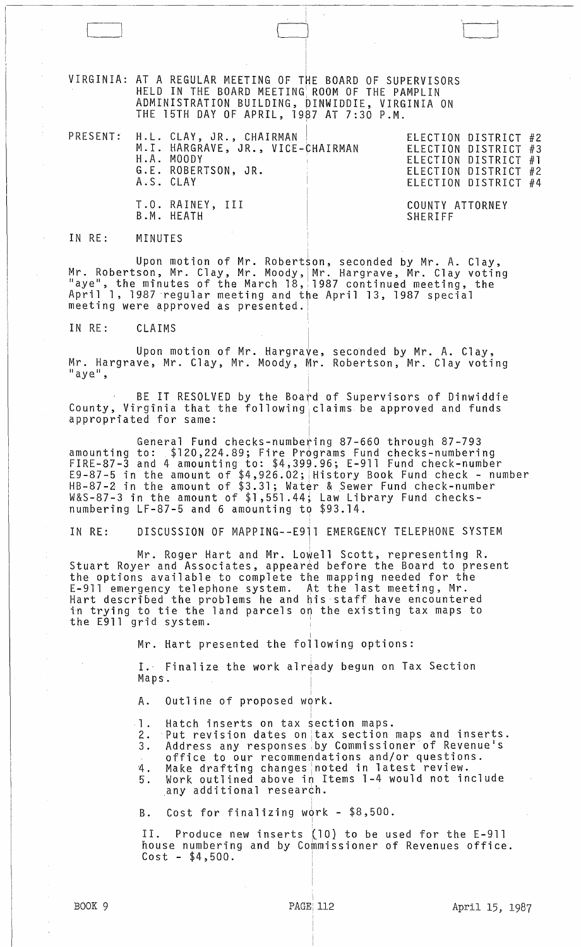VIRGINIA: AT A REGULAR MEETING OF THE BOARD OF SUPERVISORS HELD IN THE BOARD MEETING' ROOM OF THE PAMPLIN ADMINISTRATION BUILDING, DINWIDDIE, VIRGINIA ON THE 15TH DAY OF APRIL, 1987 AT 7:30 P.M.

|  | PRESENT: H.L. CLAY, JR., CHAIRMAN<br>M.I. HARGRAVE, JR., VICE-CHAIRMAN<br>H.A. MOODY<br>G.E. ROBERTSON, JR.<br>A.S. CLAY |                                   | ELECTION DISTRICT #2<br>ELECTION DISTRICT #3<br>ELECTION DISTRICT #1<br>ELECTION DISTRICT #2<br>ELECTION DISTRICT #4 |  |
|--|--------------------------------------------------------------------------------------------------------------------------|-----------------------------------|----------------------------------------------------------------------------------------------------------------------|--|
|  | T.O. RAINEY, III<br>B.M. HEATH                                                                                           | COUNTY ATTORNEY<br><b>SHERTEE</b> |                                                                                                                      |  |

,

I

i

I I I

## IN RE: MINUTES

L \_\_

Upon motion of Mr. Robertson, seconded by Mr. A. Clay, Mr. Robertson, Mr. Clay, Mr. Moody, Mr. Hargrave, Mr. Clay voting<br>"aye", the minutes of the March 18, 1987 continued meeting, the April 1, 1987 regular meeting and the April 13, 1987 special<br>meeting were approved as presented.|

IN RE: CLAIMS

<sup>I</sup>Upon motion of Mr. Hargrave, Mr. Hargrave, Mr. Clay, Mr. Moody, Mr. seconded by Mr. A. Clay, Mr. Hargrave, Mr. Clay, Mr. Moody, Mr. Robertson, Mr. Clay voting<br>"aye",

BE IT RESOLVED by the Board of Supervisors of Dinwiddie County, Virginia that the following claims be approved and funds appropriated for same:

I General Fund checks-numbering 87-660 through 87-793 amounting to: \$120,224.89; Fire Programs Fund checks-numbering<br>FIRE-87-3 and 4 amounting to: \$4,399.96; E-911 Fund check-number E9-87-5 in the amount of  $$4,926.02$ ; History Book Fund check - number HB-87-2 in the amount of \$3.31; Water & Sewer Fund check-number W&S-87-3 in the amount of \$1,551.44; Law Library Fund checksnumbering LF-87-5 and 6 amounting to  $$93.14$ .

IN RE: DISCUSSION OF MAPPING--E911 EMERGENCY TELEPHONE SYSTEM

, Mr. Roger Hart and Mr. Lowell Scott, representing R. Stuart Royer and Associates, appeared before the Board to present the options available to complete the mapping needed for the E-911 emergency telephone system. At the last meeting, Mr. Hart descri'bed the problems he and his staff have encountered in trying to tie the land parcels on the existing tax maps to the E911 grid system.

Mr. Hart presented the fo $\overset{\dagger}{\text{1}}$ owing options:

I. Finalize the work already begun on Tax Section Maps.

A. Outline of proposed work.

Hatch inserts on tax section maps.

- 1. Hatch inserts on tax section maps.<br>2. Put revision dates on tax section maps and inserts.<br>3. Address any responses by Commissioner of Revenue's Address any responses by Commissioner of Revenue's
- office to our recommendations and/or questions.

,

! ,

!

4. Make drafting changes noted in latest review. 5. Work outlined above in Items 1-4 would not include ,any additional research.

B. Cost for finalizing work  $-$  \$8,500.

II. Produce new inserts (10} to be used for the E-911 house numbering and by Commissioner of Revenues office.  $Cost - $4,500.$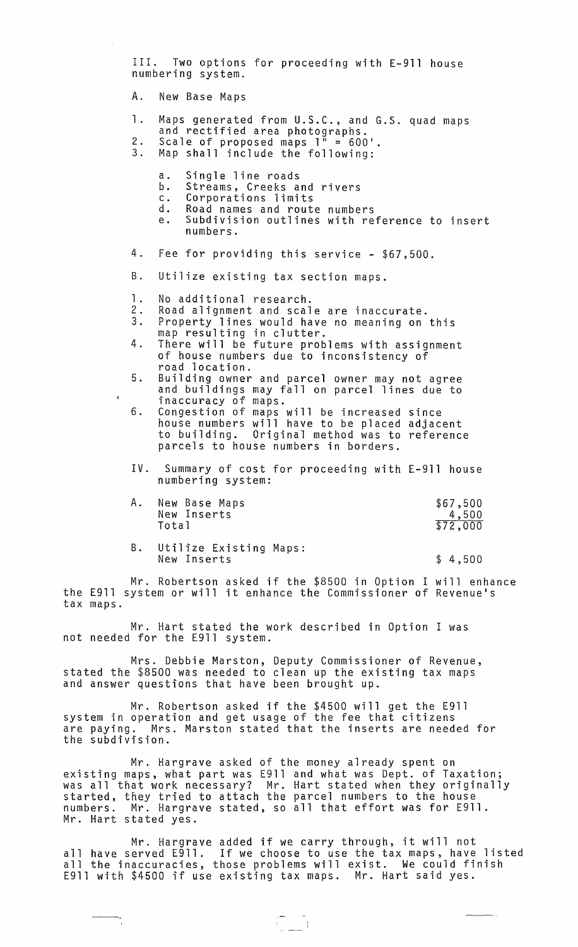III. Two options for proceeding with E-911 house numbering system.

A. New Base Maps

- 1. Maps generated from U.S.C., and G.S. quad maps<br>and rectified area photographs.<br>2. Scale of proposed maps 1" = 600'.<br>3. Map shall include the following:
- - Map shall include the following:
		- a. Single line roads<br>b. Streams, Creeks a
		- b. Streams, Creeks and rivers
		- c. Corporations limits<br>d. Road names and rout
		- d. Road names and route numbers
		- e. Subdivision outlines with reference to insert numbers.
- 4. Fee for providing this service \$67,500.
- B. Utilize existing tax section maps.
- 1. No additional research.<br>2. Road alignment and scal
- 2. Road alignment and scale are inaccurate.
- 3. Property lines would have no meaning on this map resulting in clutter.
- 4. There will be future problems with assignment of house numbers due to inconsistency of
- road location.<br>Building owner and parcel owner may not agree 5. Building owner and parcel owner may not agree and buildings may fallon parcel lines due to inaccuracy of maps.
- 6. Congestion of maps will be increased since house numbers will have to be placed adjacent to building. Original method was to reference parcels to house numbers in borders.
- IV. Summary of cost for proceeding with E-911 house numbering system:

| Α. | New Base Maps | \$67,500 |
|----|---------------|----------|
|    | New Inserts   | 4,500    |
|    | Total         | \$72,000 |
|    |               |          |

B. Utilize Existing Maps: New Inserts \$ 4,500

Mr. Robertson asked if the \$8500 in Option I will enhance the E911 system or will it enhance the Commissioner of Revenue's tax maps.

Mr. Hart stated the work described in Option I was not needed for the E911 system.

Mrs. Debbie Marston, Deputy Commissioner of Revenue, stated the \$8500 was needed to clean up the existing tax maps and answer questions that have been brought up.

Mr. Robertson asked if the \$4500 will get the E911 system in operation and get usage of the fee that citizens are paying. Mrs. Marston stated that the inserts are needed for the subdivision.

Mr. Hargrave asked of the money already spent on existing maps, what part was E911 and what was Dept. of Taxation; was all that work necessary? Mr. Hart stated when they originally started, they tried to attach the parcel numbers to the house numbers. Mr. Hargrave stated, so all that effort was for E911. Mr. Hart stated yes.

Mr. Hargrave added if we carry through, it will not all have served E911. If we choose to use the tax maps, have listed all the inaccuracies, those problems will exist. We could finish E911 with \$4500 if use existing tax maps. Mr. Hart said yes.

 $\begin{array}{c} \begin{array}{c} \begin{array}{c} \begin{array}{c} \end{array} \\ \begin{array}{c} \end{array} \\ \begin{array}{c} \end{array} \\ \begin{array}{c} \end{array} \end{array} \end{array} \end{array}$ 

÷.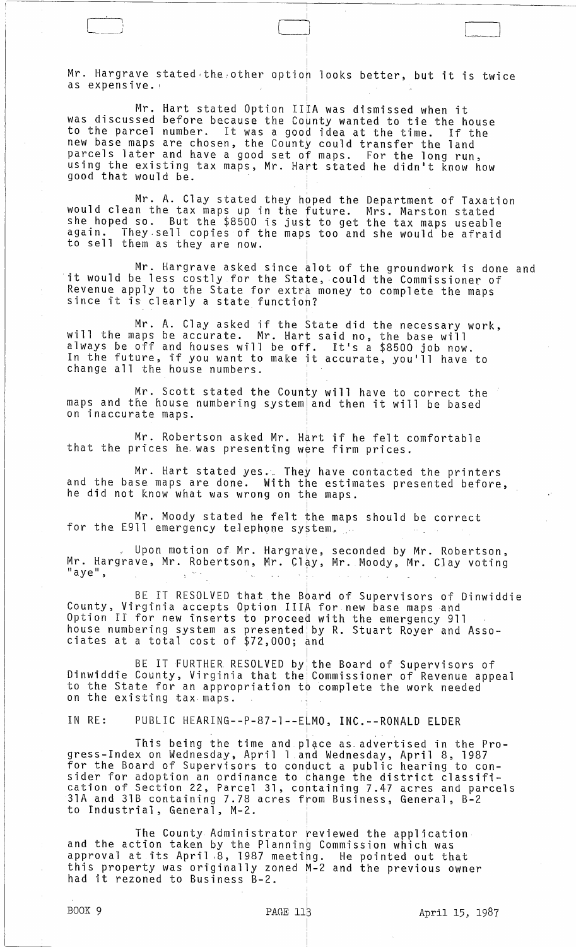Mr. Hargrave stated the other option looks better, but it is twice as expensive.

 $\begin{array}{|c|c|} \hline \quad \quad & \quad \quad & \quad \quad \\ \hline \quad \quad & \quad \quad & \quad \quad \\ \hline \quad \quad & \quad \quad & \quad \quad \\ \hline \quad \quad & \quad \quad & \quad \quad \\ \hline \quad \quad & \quad \quad & \quad \quad \\ \hline \quad \quad & \quad \quad & \quad \quad \\ \hline \quad \quad & \quad \quad & \quad \quad \\ \hline \quad \quad & \quad \quad & \quad \quad \\ \hline \quad \quad & \quad \quad & \quad \quad \\ \hline \quad \quad & \quad \quad & \quad \quad \\ \hline \quad \quad & \quad \quad & \quad \quad \\ \hline \quad \quad & \quad \$ 

Mr. Hart stated Option II  $\mathsf{IA}$  was dismissed when it was discussed before because the County wanted to tie the house to the parcel number. It was a good idea at the time. If the new base maps are chosen, the County could transfer the land parcels later and have a good set of maps. For the long run, using the existing tax maps, Mr. Hart stated he didn't know how good that would be.

Mr. A. Clay stated they hpped the Department of Taxation would clean the tax maps up in the future. Mrs. Marston stated she hoped so. But the \$8500 is just to get the tax maps useable again. They.sell copies of the maps too and she would be afraid to sell them as they are now.

Mr. Hargrave asked since alot of the groundwork is done and it would be less costly for the State, could the Commissioner of Revenue apply to the State for extra money to complete the maps since it is clearly a state functioh?

I

Mr. A. Clay asked if the state did the necessary work, will the maps be accurate. Mr. Hart said no, the base will always be off and houses will be off. It's a \$8500 job now. ainays be on and houses will be onl. It s a posoo job now.<br>In the future, if you want to make it accurate, you'll have to change all the house numbers.

Mr. Scott stated the County will have to correct the maps and the house numbering system and then it will be based on inaccurate maps.

Mr. Robertson asked Mr. Hart if he felt comfortable that the prices he was presenting were firm prices.

Mr. Hart stated yes. They have contacted the printers and the base maps are done. With the estimates presented before, he did not know what was wrong on the maps.

I

I

 $M_{\rm r}$ . Moody stated he felt the maps should be correct for the E911 emergency telephone system.

Upon motion of Mr. Hargrave, seconded by Mr. Robertson, Mr. Hargrave, Mr. Robertson, Mr. Clay, Mr. Moody, Mr. Clay voting "<br>"aye",

BE IT RESOLVED that the Board of Supervisors of Dinwiddie County, Virginia accepts Option IlIA for new base maps and Option II for new inserts to proceed with the emergency 911 house numbering system as presented~ by R. Stuart Royer and Associates at a total cost of  $$72,000;$  and

BE IT FURTHER RESOLVED by the Board of Supervisors of Dinwiddie County, Virginia that the Commissioner of Revenue appeal to the State for an appropriation to complete the work needed on the existing tax· maps. . I

IN RE: PUBLIC HEARING--P-87-1--ELMO, INC.--RONALD ELDER

This being the time and place as advertised in the Progress-Index on Wednesday, April l.and Wednesday, April 8, 1987 for the Board of Supervisors to conduct a public hearing to consider for adoption an ordinance to bhange the district classification of Section 22, Parcel 31, containing 7.47 acres and parcels 31A and 31B containing 7.78 acres from Business, General, B-2 to Industrial, General, M-2. .

i

The County Administrator reviewed the application and the action taken by the Planning Commission which was approval at its April ,8, 1987 meeting. He pointed out that this property was originally zoned M-2 and the previous owner had it rezoned to Business B-2.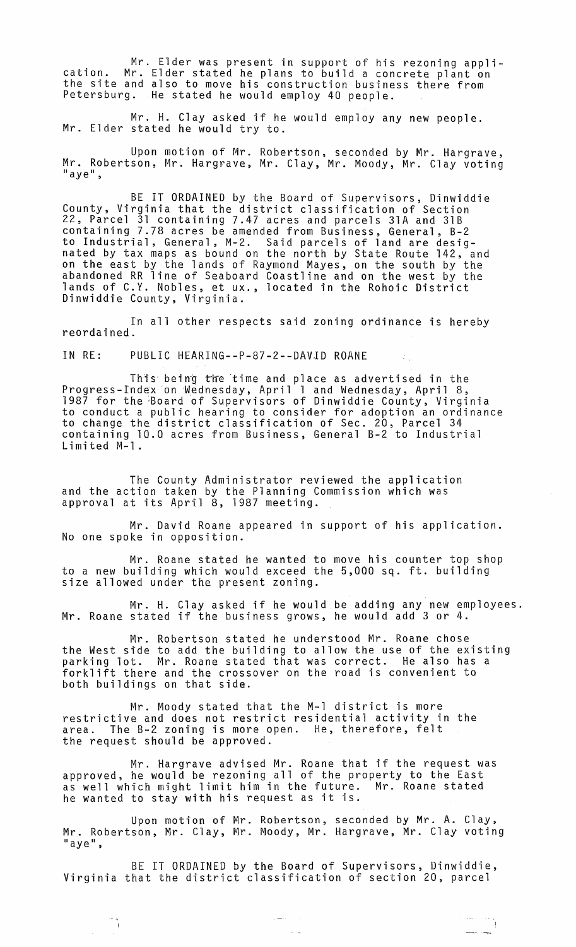Mr. Elder was present in support of his rezoning appli- cation. Mr. Elder stated he plans to build a concrete plant on the site and also to move his construction business there from Petersburg. He stated he would employ 40 people.

Mr. H. Clay asked if he would employ any new people.<br>Mr. Elder stated he would try to.

Upon motion of Mr. Robertson, seconded by Mr. Hargrave, Mr. Robertson, Mr. Hargrave, Mr. Clay, Mr. Moody, Mr. Clay voting<br>"aye",

BE IT ORDAINED by the Board of Supervisors, Dinwiddie County, Virginia that the district classification of Section 22, Parcel 31 containing 7.47 acres and parcels 31A and 31B containing 7.78 acres be amended from Business, General, B-2 to Industrial, General, M-2. Said parcels of land are desig- nated by tax maps as bound on the north by State Route 142, and on the east by the lands of Raymond Mayes, on the south by the abandoned RR line of Seaboard Coastline and on the west by the lands of C.Y. Nobles, et ux., located in the Rohoic District Dinwiddie County, Virginia.

In all other respects said zoning ordinance is hereby reordained.

IN RE: PUBLIC HEARING--P-87-2--DAV1D ROANE

This being the time and place as advertised in the Progress-Index on Wednesday, April 1 and Wednesday, April 8, 1987 for the Board of Supervisors of Dinwiddie County, Virginia to conduct a public hearing to consider for adoption an ordinance to change the district classification of Sec. 20, Parcel 34 containing 10.0 acres from Business, General B-2 to Industrial Limited M-l.

The County Administrator reviewed the application and the action taken by the Planning Commission which was approval at its April 8, 1987 meeting.

Mr. David Roane appeared in support of his application. No one spoke in opposition.  $\overline{\phantom{a}}$ 

Mr. Roane stated he wanted to move his counter top shop to a new building which would exceed the 5,000 sq. ft. building size allowed under the present zoning.

Mr. H. Clay asked if he would be adding any new employees. Mr. Roane stated if the business grows, he would add 3 or 4.

Mr. Robertson stated he understood Mr. Roane chose the West side to add the building to allow the use of the existing parking lot. Mr. Roane stated that was correct. He also has a forklift there and the crossover on the road is convenient to both buildings on that side.

Mr. Moody stated that the M-l district is more restrictive and does not restrict residential activity in the area. The B-2 zoning is more open. He, therefore, felt the request should be approved.

Mr. Hargrave advised Mr. Roane that if the request was approved, he would be rezoning all of the property to the East as well which might limit him in the future. Mr. Roane stated he wanted to stay with his request as it is.

Upon motion of Mr. Robertson, seconded by Mr. A. Clay, Mr. Robertson, Mr. Clay, Mr. Moody, Mr. Hargrave, Mr. Clay voting<br>"aye",

BE IT ORDAINED by the Board of Supervisors, Dinwiddie, Virginia that the district classification of section 20, parcel

 $\frac{1}{2}$ 

 $\frac{1}{\sqrt{2}}$ 

 $\label{eq:2.1} \begin{array}{ll} \mathcal{L}_{\text{max}}(\mathcal{L}_{\text{max}}) & \mathcal{L}_{\text{max}} \\ \mathcal{L}_{\text{max}}(\mathcal{L}_{\text{max}}) & \mathcal{L}_{\text{max}}(\mathcal{L}_{\text{max}}) \end{array}$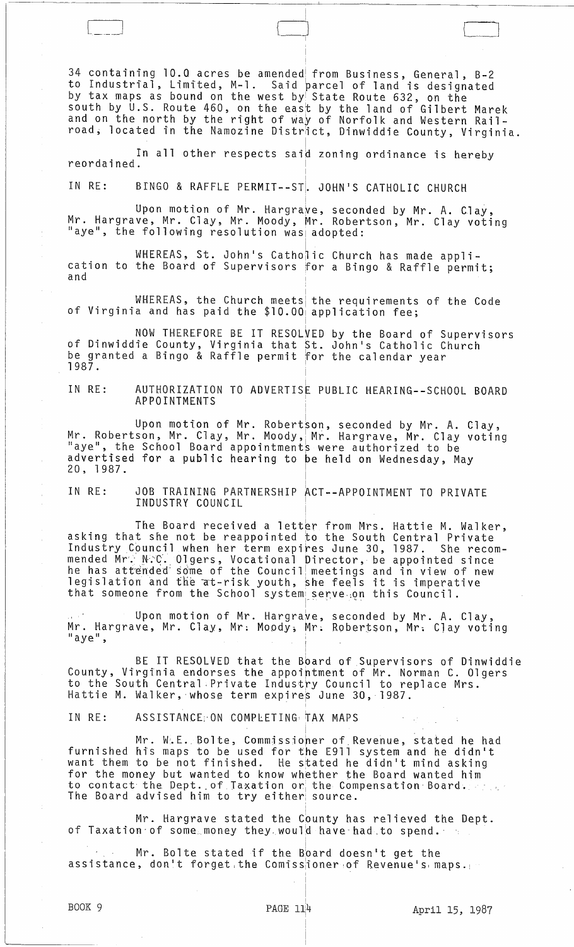34 containing 10.0 acres be amended from Business, General, B-2<br>to Industrial, Limited, M-1. Said parcel of land is designated by tax maps as bound on the west by State Route 632, on the south by U.S. Route 460, on the east by the land of Gilbert Marek and on the north by the right of way of Norfolk and Western Railroad, located in the Namozine District, Dinwiddie County, Virginia.

]

In all other respects said zoning ordinance is hereby reordained.

IN RE: BINGO & RAFFLE PERMIT--ST. JOHN'S CATHOLIC CHURCH

 $\begin{pmatrix} 1 & 1 \\ 1 & 1 \end{pmatrix}$ 

Upon motion of Mr. Hargrave, seconded by Mr. A. Clay, Mr. Hargrave, Mr. Clay, Mr. Moody, Mr. Robertson, Mr. Clay voting<br>"aye", the following resolution was adopted:

WHEREAS, St. John's Catho<mark>lic Church has made appli-</mark> cation to the Board of Supervisors for a Bingo & Raffle permit;<br>and

WHEREAS, the Church meets the requirements of the Code of Virginia and has paid the \$10.00 application fee;

NOW THEREFORE BE IT RESOLVED by the Board of Supervisors<br>of Dinwiddie County, Virginia that St. John's Catholic Church be granted a Bingo & Raffle permit for the calendar year 1987.

1 IN RE: AUTHORIZATION TO ADVERTISE PUBLIC HEARING--SCHOOL BOARD APPOINTMENTS <sup>I</sup>

Upon motion of Mr. Robertson, seconded by Mr. A. Clay, Mr. Robertson, Mr. Clay, Mr. Moody, Mr. Hargrave, Mr. Clay voting<br>"aye", the School Board appointments were authorized to be advertised for a public hearing to be held on Wednesday, May 20, 1987. <sup>I</sup>

JOB TRAINING PARTNERSHIP ACT--APPOINTMENT TO PRIVATE INDUSTRY COUNCIL IN RE:

The Board received a letter from Mrs. Hattie M. Walker, asking that she not be reappointed to the South Central Private Industry Council when her term expires June 30, 1987. She recommended Mr. N.C. Olgers, Vocational Director, be appointed since he has attended some of the Council meetings and in view of new legislation and the at-risk youth, she feels it is imperative that someone from the School system serve, on this Council.<br>that someone from the School system serve, on this Council.

Upon motion of Mr. Hargrave, seconded by Mr. A. Clay, Mr. Hargrave, Mr. Clay, Mr. Moody, Mr. Robertson, Mr. Clay voting<br>"aye", I

BE IT RESOLVED that the Bbard of Supervisors of Dinwiddie County, Virginia endorses the appoirtment of Mr. Norman C. Olgers to the South Central.Private Industry Council to replace Mrs. Hattie M. Walker, whose term expires June 30, 1987.

I

IN RE: ASSISTANCE: ON COMPLETING TAX MAPS

Mr. W.E. Bolte, Commissioner of Revenue, stated he had furnished his maps to be used for the E911 system and he didn't want them to be not finished. He stated he didn't mind asking for the money but wanted to know whether the Board wanted him to contact the Dept. of Taxation or the Compensation Board. The Board advised him to try either, source.

Mr. Hargrave stated the County has relieved the Dept. of Taxation of some money they would have had to spend.

Mr. Bolte stated if the Board doesn't get the assistance, don't forget the Comissioner of Revenue's maps.

I

I I